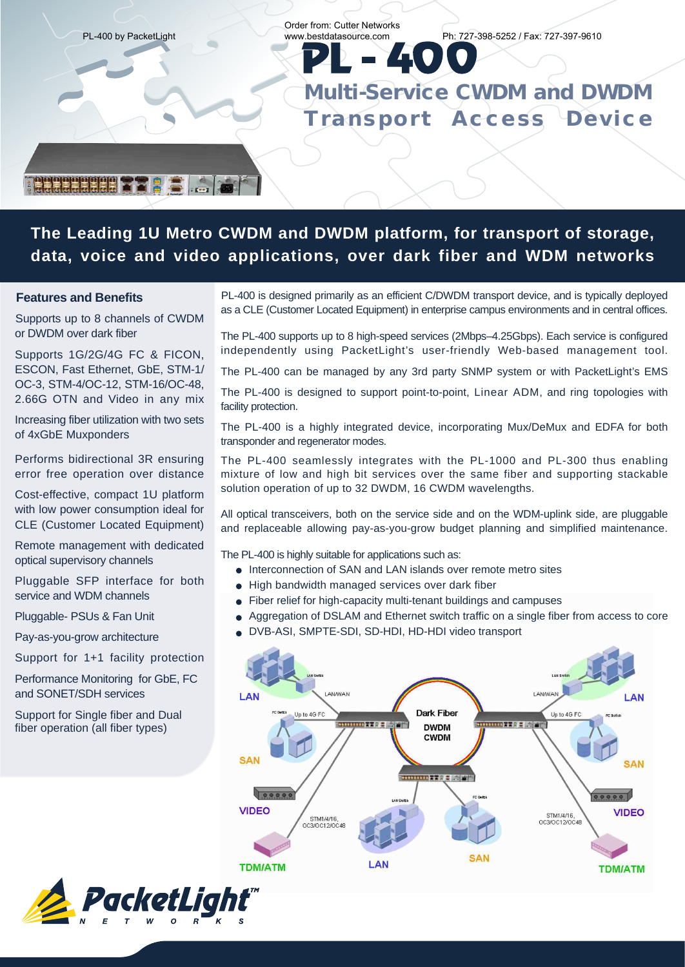

### **The Leading 1U Metro CWDM and DWDM platform, for transport of storage, data, voice and video applications, over dark fiber and WDM networks**

#### **Features and Benefits**

Supports up to 8 channels of CWDM or DWDM over dark fiber

Supports 1G/2G/4G FC & FICON, ESCON, Fast Ethernet, GbE, STM-1/ OC-3, STM-4/OC-12, STM-16/OC-48, 2.66G OTN and Video in any mix

Increasing fiber utilization with two sets of 4xGbE Muxponders

Performs bidirectional 3R ensuring error free operation over distance

Cost-effective, compact 1U platform with low power consumption ideal for CLE (Customer Located Equipment)

Remote management with dedicated optical supervisory channels

Pluggable SFP interface for both service and WDM channels

Pluggable- PSUs & Fan Unit

Pay-as-you-grow architecture

Support for 1+1 facility protection

Performance Monitoring for GbE, FC and SONET/SDH services

Support for Single fiber and Dual fiber operation (all fiber types)



The PL-400 supports up to 8 high-speed services (2Mbps–4.25Gbps). Each service is configured independently using PacketLight's user-friendly Web-based management tool.

The PL-400 can be managed by any 3rd party SNMP system or with PacketLight's EMS

The PL-400 is designed to support point-to-point, Linear ADM, and ring topologies with facility protection.

The PL-400 is a highly integrated device, incorporating Mux/DeMux and EDFA for both transponder and regenerator modes.

The PL-400 seamlessly integrates with the PL-1000 and PL-300 thus enabling mixture of low and high bit services over the same fiber and supporting stackable solution operation of up to 32 DWDM, 16 CWDM wavelengths.

All optical transceivers, both on the service side and on the WDM-uplink side, are pluggable and replaceable allowing pay-as-you-grow budget planning and simplified maintenance.

The PL-400 is highly suitable for applications such as:

- $\bullet$  Interconnection of SAN and LAN islands over remote metro sites
- $\bullet$  High bandwidth managed services over dark fiber
- Fiber relief for high-capacity multi-tenant buildings and campuses
- Aggregation of DSLAM and Ethernet switch traffic on a single fiber from access to core
- DVB-ASI, SMPTE-SDI, SD-HDI, HD-HDI video transport